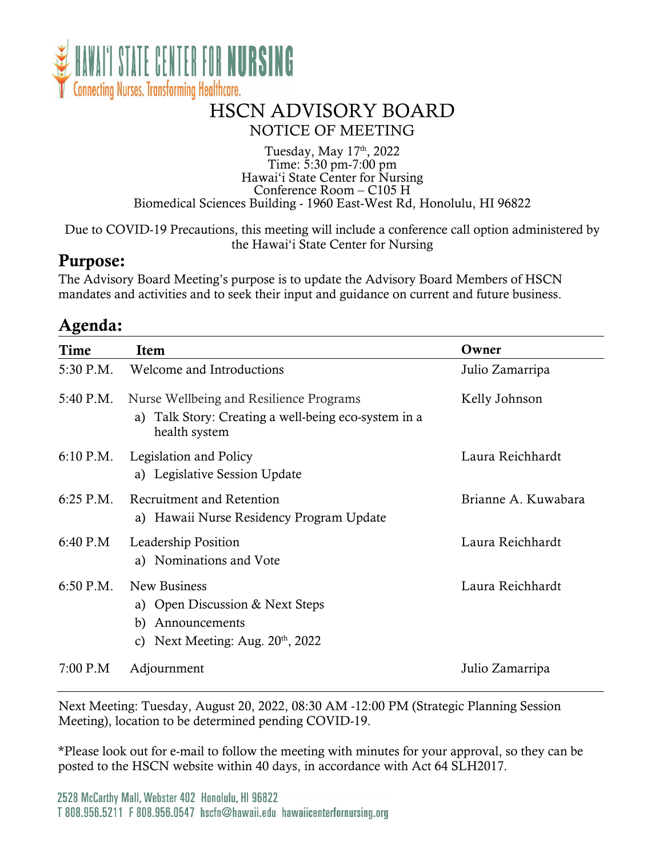

### HSCN ADVISORY BOARD NOTICE OF MEETING

#### Tuesday, May 17<sup>th</sup>, 2022 Time: 5:30 pm-7:00 pm Hawai'i State Center for Nursing Conference Room – C105 H Biomedical Sciences Building - 1960 East-West Rd, Honolulu, HI 96822

Due to COVID-19 Precautions, this meeting will include a conference call option administered by the Hawai'i State Center for Nursing

### Purpose:

The Advisory Board Meeting's purpose is to update the Advisory Board Members of HSCN mandates and activities and to seek their input and guidance on current and future business.

### Agenda:

| Time        | Item                                                                                                             | Owner               |
|-------------|------------------------------------------------------------------------------------------------------------------|---------------------|
| 5:30 P.M.   | Welcome and Introductions                                                                                        | Julio Zamarripa     |
| 5:40 P.M.   | Nurse Wellbeing and Resilience Programs<br>a) Talk Story: Creating a well-being eco-system in a<br>health system | Kelly Johnson       |
| $6:10$ P.M. | Legislation and Policy<br>a) Legislative Session Update                                                          | Laura Reichhardt    |
| $6:25$ P.M. | Recruitment and Retention<br>a) Hawaii Nurse Residency Program Update                                            | Brianne A. Kuwabara |
| $6:40$ P.M  | Leadership Position<br>a) Nominations and Vote                                                                   | Laura Reichhardt    |
| $6:50$ P.M. | New Business<br>a) Open Discussion & Next Steps<br>Announcements<br>b)<br>c) Next Meeting: Aug. $20th$ , 2022    | Laura Reichhardt    |
| 7:00 P.M    | Adjournment                                                                                                      | Julio Zamarripa     |

Next Meeting: Tuesday, August 20, 2022, 08:30 AM -12:00 PM (Strategic Planning Session Meeting), location to be determined pending COVID-19.

\*Please look out for e-mail to follow the meeting with minutes for your approval, so they can be posted to the HSCN website within 40 days, in accordance with Act 64 SLH2017.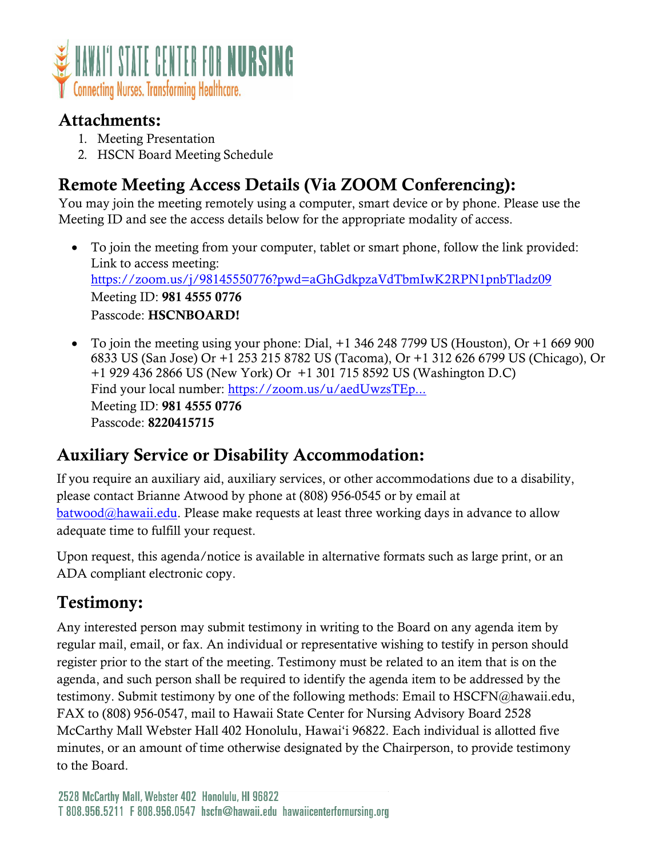

### Attachments:

- 1. Meeting Presentation
- 2. HSCN Board Meeting Schedule

# Remote Meeting Access Details (Via ZOOM Conferencing):

You may join the meeting remotely using a computer, smart device or by phone. Please use the Meeting ID and see the access details below for the appropriate modality of access.

- To join the meeting from your computer, tablet or smart phone, follow the link provided: Link to access meeting: <https://zoom.us/j/98145550776?pwd=aGhGdkpzaVdTbmIwK2RPN1pnbTladz09> Meeting ID: 981 4555 0776 Passcode: HSCNBOARD!
- To join the meeting using your phone: Dial, +1 346 248 7799 US (Houston), Or +1 669 900 6833 US (San Jose) Or +1 253 215 8782 US (Tacoma), Or +1 312 626 6799 US (Chicago), Or +1 929 436 2866 US (New York) Or +1 301 715 8592 US (Washington D.C) Find your local number: [https://zoom.us/u/aedUwzsTEp...](https://www.google.com/url?q=https://zoom.us/u/aedUwzsTEp&sa=D&source=calendar&ust=1642268374863898&usg=AOvVaw1eKB8Cyekdy_awkhdQ0C5W) Meeting ID: 981 4555 0776 Passcode: 8220415715

### Auxiliary Service or Disability Accommodation:

If you require an auxiliary aid, auxiliary services, or other accommodations due to a disability, please contact Brianne Atwood by phone at (808) 956-0545 or by email at [batwood@hawaii.edu.](mailto:batwood@hawaii.edu?subject=ADA%20Accommidation) Please make requests at least three working days in advance to allow adequate time to fulfill your request.

Upon request, this agenda/notice is available in alternative formats such as large print, or an ADA compliant electronic copy.

## Testimony:

Any interested person may submit testimony in writing to the Board on any agenda item by regular mail, email, or fax. An individual or representative wishing to testify in person should register prior to the start of the meeting. Testimony must be related to an item that is on the agenda, and such person shall be required to identify the agenda item to be addressed by the testimony. Submit testimony by one of the following methods: Email to HSCFN@hawaii.edu, FAX to (808) 956-0547, mail to Hawaii State Center for Nursing Advisory Board 2528 McCarthy Mall Webster Hall 402 Honolulu, Hawai'i 96822. Each individual is allotted five minutes, or an amount of time otherwise designated by the Chairperson, to provide testimony to the Board.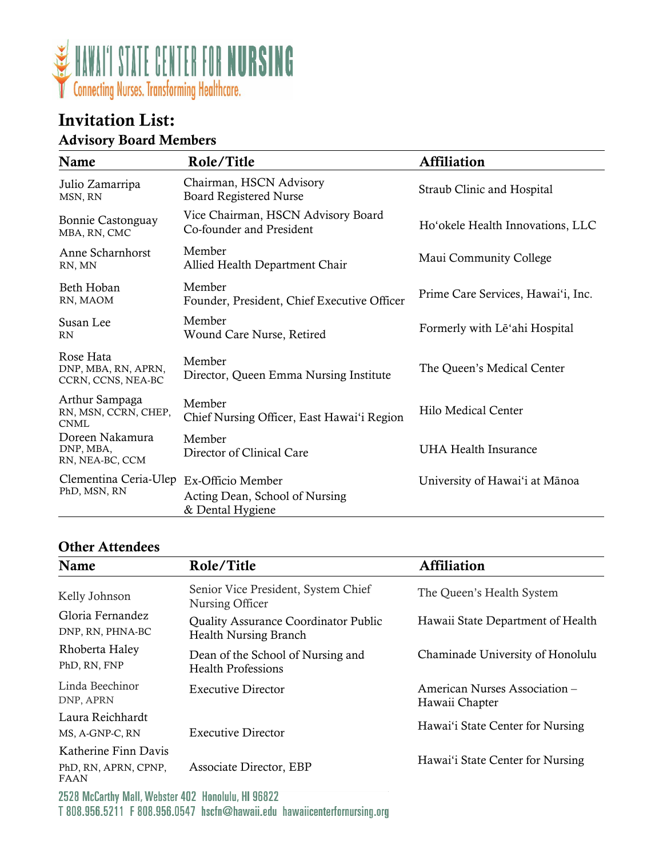

### Invitation List: Advisory Board Members

| Name                                                    | Role/Title                                                     | <b>Affiliation</b>                 |
|---------------------------------------------------------|----------------------------------------------------------------|------------------------------------|
| Julio Zamarripa<br>MSN, RN                              | Chairman, HSCN Advisory<br><b>Board Registered Nurse</b>       | Straub Clinic and Hospital         |
| Bonnie Castonguay<br>MBA, RN, CMC                       | Vice Chairman, HSCN Advisory Board<br>Co-founder and President | Ho'okele Health Innovations, LLC   |
| Anne Scharnhorst<br>RN, MN                              | Member<br>Allied Health Department Chair                       | Maui Community College             |
| Beth Hoban<br>RN, MAOM                                  | Member<br>Founder, President, Chief Executive Officer          | Prime Care Services, Hawai'i, Inc. |
| Susan Lee<br><b>RN</b>                                  | Member<br>Wound Care Nurse, Retired                            | Formerly with Le'ahi Hospital      |
| Rose Hata<br>DNP, MBA, RN, APRN,<br>CCRN, CCNS, NEA-BC  | Member<br>Director, Queen Emma Nursing Institute               | The Queen's Medical Center         |
| Arthur Sampaga<br>RN, MSN, CCRN, CHEP,<br><b>CNML</b>   | Member<br>Chief Nursing Officer, East Hawai'i Region           | Hilo Medical Center                |
| Doreen Nakamura<br>DNP, MBA,<br>RN, NEA-BC, CCM         | Member<br>Director of Clinical Care                            | <b>UHA Health Insurance</b>        |
| Clementina Ceria-Ulep Ex-Officio Member<br>PhD, MSN, RN | Acting Dean, School of Nursing<br>& Dental Hygiene             | University of Hawai'i at Mānoa     |

#### Other Attendees

| Name                                                        | Role/Title                                                                  | <b>Affiliation</b>                              |
|-------------------------------------------------------------|-----------------------------------------------------------------------------|-------------------------------------------------|
| Kelly Johnson                                               | Senior Vice President, System Chief<br>Nursing Officer                      | The Queen's Health System                       |
| Gloria Fernandez<br>DNP, RN, PHNA-BC                        | <b>Quality Assurance Coordinator Public</b><br><b>Health Nursing Branch</b> | Hawaii State Department of Health               |
| Rhoberta Haley<br>PhD, RN, FNP                              | Dean of the School of Nursing and<br><b>Health Professions</b>              | Chaminade University of Honolulu                |
| Linda Beechinor<br>DNP, APRN                                | Executive Director                                                          | American Nurses Association –<br>Hawaii Chapter |
| Laura Reichhardt<br>MS, A-GNP-C, RN                         | <b>Executive Director</b>                                                   | Hawai'i State Center for Nursing                |
| Katherine Finn Davis<br>PhD, RN, APRN, CPNP,<br><b>FAAN</b> | Associate Director, EBP                                                     | Hawai'i State Center for Nursing                |
| 2528 McCarthy Mall Wohstor 402 Honolulu HL06822             |                                                                             |                                                 |

2528 McCarthy Mall, Webster 402 Honolulu, HI 96822 T 808.956.5211 F 808.956.0547 hscfn@hawaii.edu hawaiicenterfornursing.org